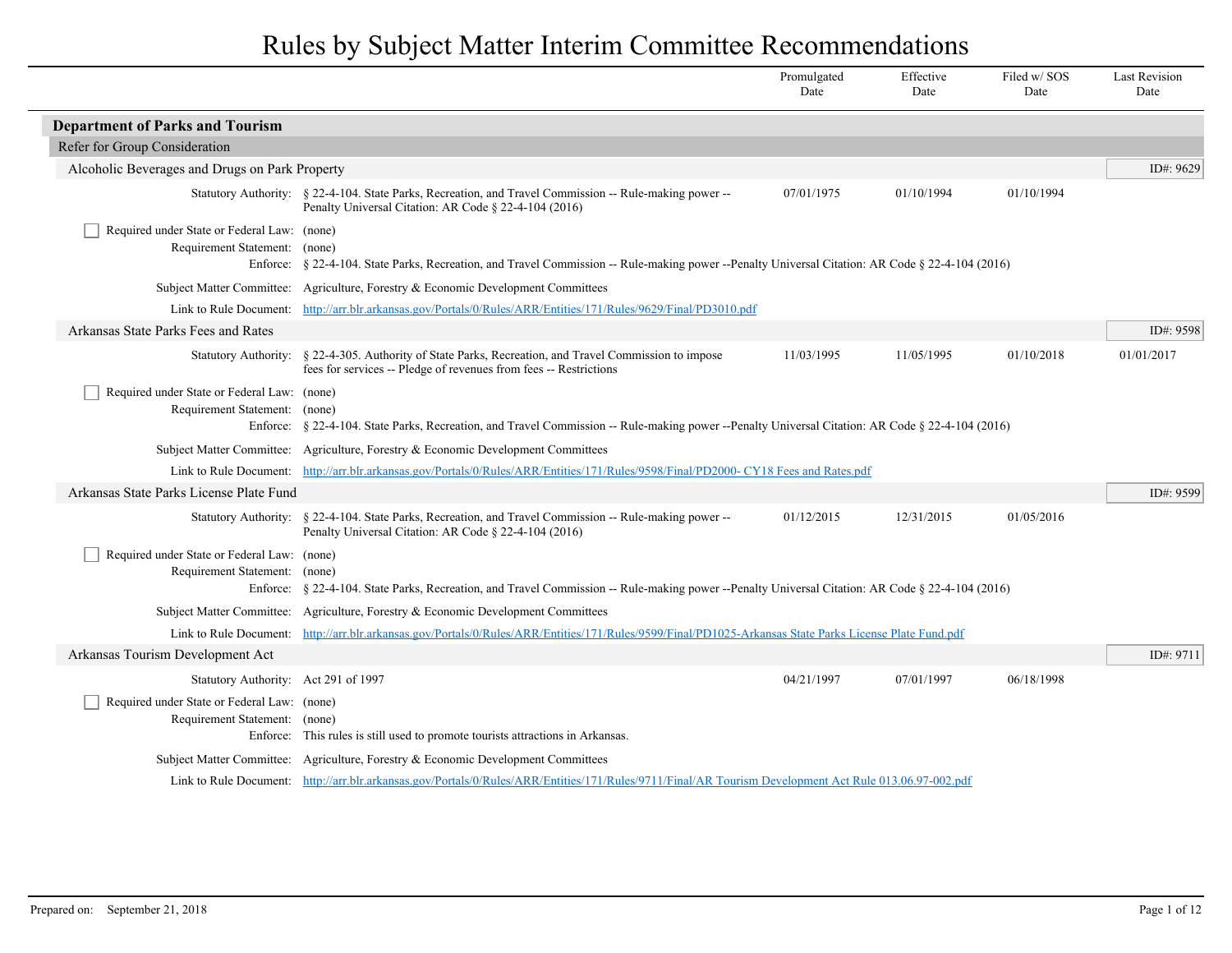|                                                                              |                                                                                                                                                                  | Promulgated<br>Date | Effective<br>Date | Filed w/SOS<br>Date | <b>Last Revision</b><br>Date |
|------------------------------------------------------------------------------|------------------------------------------------------------------------------------------------------------------------------------------------------------------|---------------------|-------------------|---------------------|------------------------------|
| <b>Department of Parks and Tourism</b>                                       |                                                                                                                                                                  |                     |                   |                     |                              |
| Refer for Group Consideration                                                |                                                                                                                                                                  |                     |                   |                     |                              |
| Alcoholic Beverages and Drugs on Park Property                               |                                                                                                                                                                  |                     |                   |                     | ID#: 9629                    |
|                                                                              | Statutory Authority: § 22-4-104. State Parks, Recreation, and Travel Commission -- Rule-making power --<br>Penalty Universal Citation: AR Code § 22-4-104 (2016) | 07/01/1975          | 01/10/1994        | 01/10/1994          |                              |
| Required under State or Federal Law: (none)<br>Requirement Statement: (none) | Enforce: § 22-4-104. State Parks, Recreation, and Travel Commission -- Rule-making power --Penalty Universal Citation: AR Code § 22-4-104 (2016)                 |                     |                   |                     |                              |
|                                                                              | Subject Matter Committee: Agriculture, Forestry & Economic Development Committees                                                                                |                     |                   |                     |                              |
|                                                                              | Link to Rule Document: http://arr.blr.arkansas.gov/Portals/0/Rules/ARR/Entities/171/Rules/9629/Final/PD3010.pdf                                                  |                     |                   |                     |                              |
| Arkansas State Parks Fees and Rates                                          |                                                                                                                                                                  |                     |                   |                     | ID#: $9598$                  |
| <b>Statutory Authority:</b>                                                  | § 22-4-305. Authority of State Parks, Recreation, and Travel Commission to impose<br>fees for services -- Pledge of revenues from fees -- Restrictions           | 11/03/1995          | 11/05/1995        | 01/10/2018          | 01/01/2017                   |
| Required under State or Federal Law: (none)<br>Requirement Statement: (none) | Enforce: § 22-4-104. State Parks, Recreation, and Travel Commission -- Rule-making power --Penalty Universal Citation: AR Code § 22-4-104 (2016)                 |                     |                   |                     |                              |
|                                                                              | Subject Matter Committee: Agriculture, Forestry & Economic Development Committees                                                                                |                     |                   |                     |                              |
|                                                                              | Link to Rule Document: http://arr.blr.arkansas.gov/Portals/0/Rules/ARR/Entities/171/Rules/9598/Final/PD2000-CY18 Fees and Rates.pdf                              |                     |                   |                     |                              |
| Arkansas State Parks License Plate Fund                                      |                                                                                                                                                                  |                     |                   |                     | ID#: $9599$                  |
|                                                                              | Statutory Authority: § 22-4-104. State Parks, Recreation, and Travel Commission -- Rule-making power --<br>Penalty Universal Citation: AR Code § 22-4-104 (2016) | 01/12/2015          | 12/31/2015        | 01/05/2016          |                              |
| Required under State or Federal Law: (none)<br>Requirement Statement: (none) | Enforce: § 22-4-104. State Parks, Recreation, and Travel Commission -- Rule-making power --Penalty Universal Citation: AR Code § 22-4-104 (2016)                 |                     |                   |                     |                              |
|                                                                              | Subject Matter Committee: Agriculture, Forestry & Economic Development Committees                                                                                |                     |                   |                     |                              |
|                                                                              | Link to Rule Document: http://arr.blr.arkansas.gov/Portals/0/Rules/ARR/Entities/171/Rules/9599/Final/PD1025-Arkansas State Parks License Plate Fund.pdf          |                     |                   |                     |                              |
| Arkansas Tourism Development Act                                             |                                                                                                                                                                  |                     |                   |                     | ID#: $9711$                  |
| Statutory Authority: Act 291 of 1997                                         |                                                                                                                                                                  | 04/21/1997          | 07/01/1997        | 06/18/1998          |                              |
| Required under State or Federal Law: (none)<br>Requirement Statement: (none) | Enforce: This rules is still used to promote tourists attractions in Arkansas.                                                                                   |                     |                   |                     |                              |
|                                                                              | Subject Matter Committee: Agriculture, Forestry & Economic Development Committees                                                                                |                     |                   |                     |                              |
|                                                                              | Link to Rule Document: http://arr.blr.arkansas.gov/Portals/0/Rules/ARR/Entities/171/Rules/9711/Final/AR Tourism Development Act Rule 013.06.97-002.pdf           |                     |                   |                     |                              |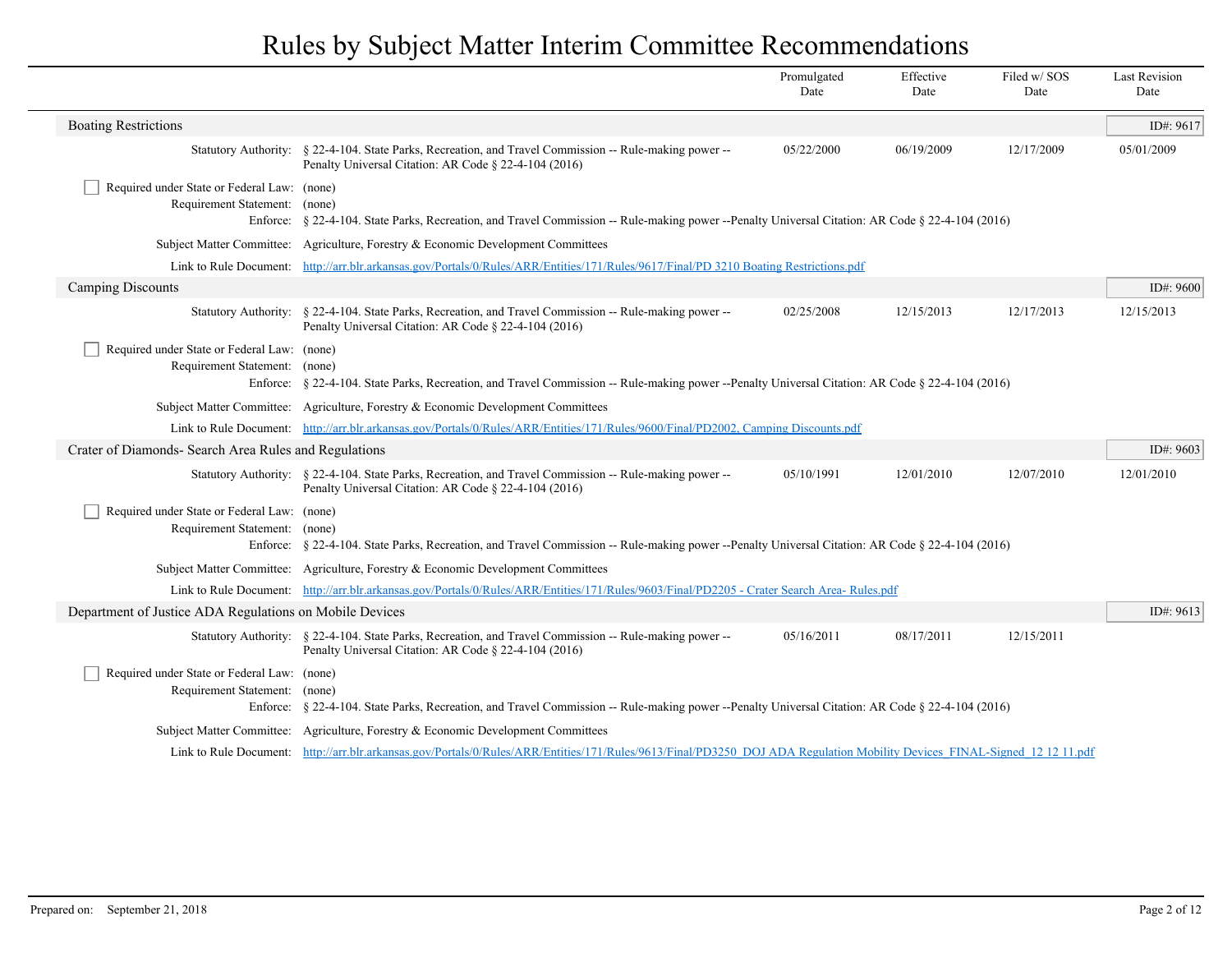|                                                                              |                                                                                                                                                                           | Promulgated<br>Date | Effective<br>Date | Filed w/SOS<br>Date | <b>Last Revision</b><br>Date |
|------------------------------------------------------------------------------|---------------------------------------------------------------------------------------------------------------------------------------------------------------------------|---------------------|-------------------|---------------------|------------------------------|
| <b>Boating Restrictions</b>                                                  |                                                                                                                                                                           |                     |                   |                     | ID#: 9617                    |
| <b>Statutory Authority:</b>                                                  | § 22-4-104. State Parks, Recreation, and Travel Commission -- Rule-making power --<br>Penalty Universal Citation: AR Code § 22-4-104 (2016)                               | 05/22/2000          | 06/19/2009        | 12/17/2009          | 05/01/2009                   |
| Required under State or Federal Law: (none)<br>Requirement Statement: (none) | Enforce: § 22-4-104. State Parks, Recreation, and Travel Commission -- Rule-making power --Penalty Universal Citation: AR Code § 22-4-104 (2016)                          |                     |                   |                     |                              |
|                                                                              | Subject Matter Committee: Agriculture, Forestry & Economic Development Committees                                                                                         |                     |                   |                     |                              |
|                                                                              | Link to Rule Document: http://arr.blr.arkansas.gov/Portals/0/Rules/ARR/Entities/171/Rules/9617/Final/PD 3210 Boating Restrictions.pdf                                     |                     |                   |                     |                              |
| Camping Discounts                                                            |                                                                                                                                                                           |                     |                   |                     | ID#: $9600$                  |
|                                                                              | Statutory Authority: § 22-4-104. State Parks, Recreation, and Travel Commission -- Rule-making power --<br>Penalty Universal Citation: AR Code § 22-4-104 (2016)          | 02/25/2008          | 12/15/2013        | 12/17/2013          | 12/15/2013                   |
| Required under State or Federal Law: (none)<br>Requirement Statement: (none) | Enforce: § 22-4-104. State Parks, Recreation, and Travel Commission -- Rule-making power --Penalty Universal Citation: AR Code § 22-4-104 (2016)                          |                     |                   |                     |                              |
|                                                                              | Subject Matter Committee: Agriculture, Forestry & Economic Development Committees                                                                                         |                     |                   |                     |                              |
|                                                                              | Link to Rule Document: http://arr.blr.arkansas.gov/Portals/0/Rules/ARR/Entities/171/Rules/9600/Final/PD2002, Camping Discounts.pdf                                        |                     |                   |                     |                              |
| Crater of Diamonds- Search Area Rules and Regulations                        |                                                                                                                                                                           |                     |                   |                     | ID#: $9603$                  |
|                                                                              | Statutory Authority: § 22-4-104. State Parks, Recreation, and Travel Commission -- Rule-making power --<br>Penalty Universal Citation: AR Code § 22-4-104 (2016)          | 05/10/1991          | 12/01/2010        | 12/07/2010          | 12/01/2010                   |
| Required under State or Federal Law: (none)<br>Requirement Statement:        | (none)<br>Enforce: § 22-4-104. State Parks, Recreation, and Travel Commission -- Rule-making power --Penalty Universal Citation: AR Code § 22-4-104 (2016)                |                     |                   |                     |                              |
|                                                                              | Subject Matter Committee: Agriculture, Forestry & Economic Development Committees                                                                                         |                     |                   |                     |                              |
|                                                                              | Link to Rule Document: http://arr.blr.arkansas.gov/Portals/0/Rules/ARR/Entities/171/Rules/9603/Final/PD2205 - Crater Search Area- Rules.pdf                               |                     |                   |                     |                              |
| Department of Justice ADA Regulations on Mobile Devices                      |                                                                                                                                                                           |                     |                   |                     | ID#: $9613$                  |
|                                                                              | Statutory Authority: § 22-4-104. State Parks, Recreation, and Travel Commission -- Rule-making power --<br>Penalty Universal Citation: AR Code § 22-4-104 (2016)          | 05/16/2011          | 08/17/2011        | 12/15/2011          |                              |
| Required under State or Federal Law: (none)<br>Requirement Statement:        | (none)<br>Enforce: § 22-4-104. State Parks, Recreation, and Travel Commission -- Rule-making power --Penalty Universal Citation: AR Code § 22-4-104 (2016)                |                     |                   |                     |                              |
|                                                                              | Subject Matter Committee: Agriculture, Forestry & Economic Development Committees                                                                                         |                     |                   |                     |                              |
|                                                                              | Link to Rule Document: http://arr.blr.arkansas.gov/Portals/0/Rules/ARR/Entities/171/Rules/9613/Final/PD3250 DOJ ADA Regulation Mobility Devices FINAL-Signed 12 12 11.pdf |                     |                   |                     |                              |
|                                                                              |                                                                                                                                                                           |                     |                   |                     |                              |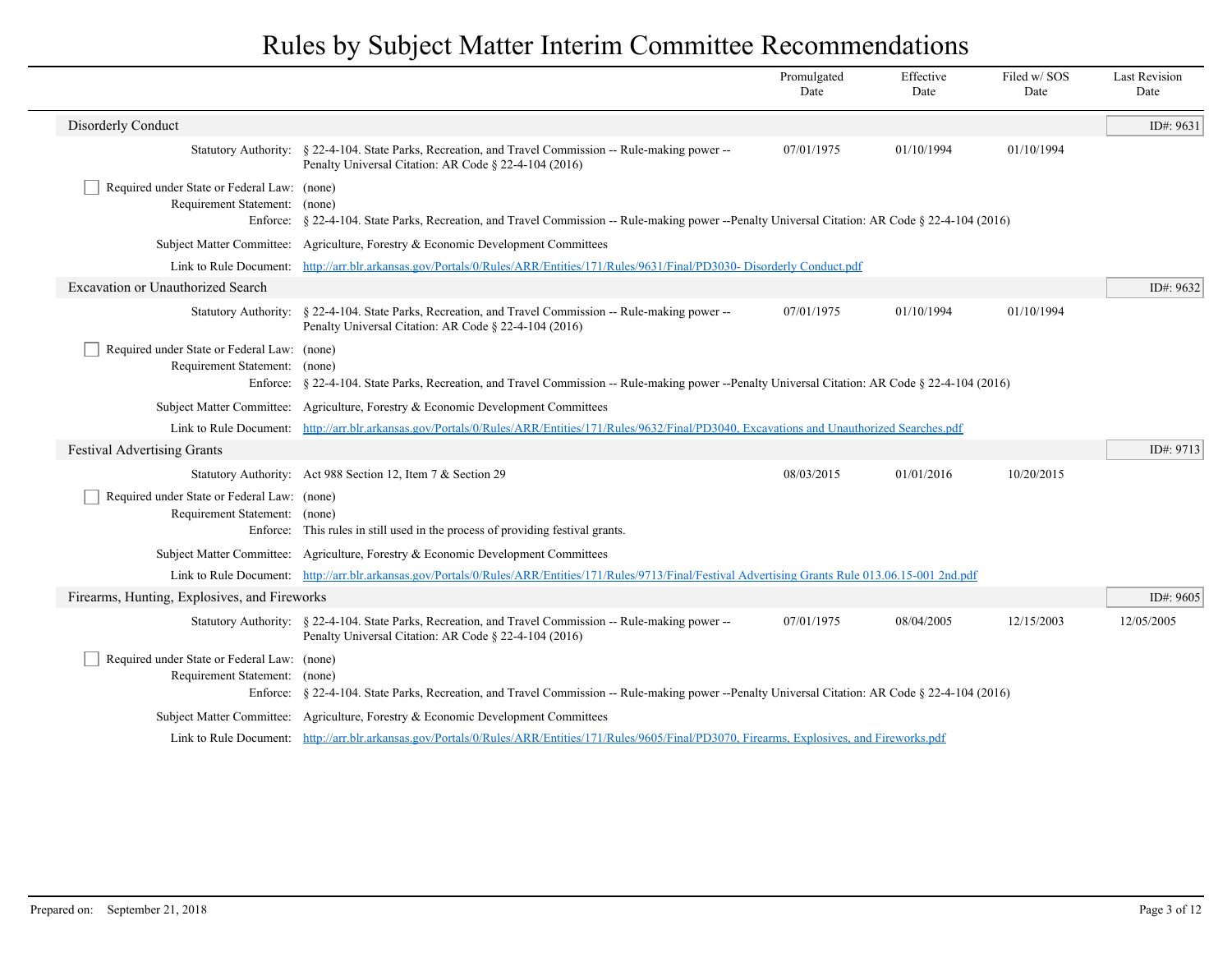|                                                                              |                                                                                                                                                                  | Promulgated<br>Date | Effective<br>Date | Filed w/SOS<br>Date | <b>Last Revision</b><br>Date |
|------------------------------------------------------------------------------|------------------------------------------------------------------------------------------------------------------------------------------------------------------|---------------------|-------------------|---------------------|------------------------------|
| Disorderly Conduct                                                           |                                                                                                                                                                  |                     |                   |                     | ID#: 9631                    |
|                                                                              | Statutory Authority: § 22-4-104. State Parks, Recreation, and Travel Commission -- Rule-making power --<br>Penalty Universal Citation: AR Code § 22-4-104 (2016) | 07/01/1975          | 01/10/1994        | 01/10/1994          |                              |
| Required under State or Federal Law: (none)<br>Requirement Statement: (none) | Enforce: § 22-4-104. State Parks, Recreation, and Travel Commission -- Rule-making power --Penalty Universal Citation: AR Code § 22-4-104 (2016)                 |                     |                   |                     |                              |
| <b>Subject Matter Committee:</b>                                             | Agriculture, Forestry & Economic Development Committees                                                                                                          |                     |                   |                     |                              |
|                                                                              | Link to Rule Document: http://arr.blr.arkansas.gov/Portals/0/Rules/ARR/Entities/171/Rules/9631/Final/PD3030-Disorderly Conduct.pdf                               |                     |                   |                     |                              |
| Excavation or Unauthorized Search                                            |                                                                                                                                                                  |                     |                   |                     | ID#: 9632                    |
|                                                                              | Statutory Authority: § 22-4-104. State Parks, Recreation, and Travel Commission -- Rule-making power --<br>Penalty Universal Citation: AR Code § 22-4-104 (2016) | 07/01/1975          | 01/10/1994        | 01/10/1994          |                              |
| Required under State or Federal Law: (none)<br>Requirement Statement: (none) | Enforce: § 22-4-104. State Parks, Recreation, and Travel Commission -- Rule-making power --Penalty Universal Citation: AR Code § 22-4-104 (2016)                 |                     |                   |                     |                              |
|                                                                              | Subject Matter Committee: Agriculture, Forestry & Economic Development Committees                                                                                |                     |                   |                     |                              |
|                                                                              | Link to Rule Document: http://arr.blr.arkansas.gov/Portals/0/Rules/ARR/Entities/171/Rules/9632/Final/PD3040, Excavations and Unauthorized Searches.pdf           |                     |                   |                     |                              |
| <b>Festival Advertising Grants</b>                                           |                                                                                                                                                                  |                     |                   |                     | ID#: 9713                    |
|                                                                              | Statutory Authority: Act 988 Section 12, Item 7 & Section 29                                                                                                     | 08/03/2015          | 01/01/2016        | 10/20/2015          |                              |
| Required under State or Federal Law: (none)<br>Requirement Statement: (none) | Enforce: This rules in still used in the process of providing festival grants.                                                                                   |                     |                   |                     |                              |
|                                                                              | Subject Matter Committee: Agriculture, Forestry & Economic Development Committees                                                                                |                     |                   |                     |                              |
|                                                                              | Link to Rule Document: http://arr.blr.arkansas.gov/Portals/0/Rules/ARR/Entities/171/Rules/9713/Final/Festival Advertising Grants Rule 013.06.15-001 2nd.pdf      |                     |                   |                     |                              |
| Firearms, Hunting, Explosives, and Fireworks                                 |                                                                                                                                                                  |                     |                   |                     | ID#: 9605                    |
|                                                                              | Statutory Authority: § 22-4-104. State Parks, Recreation, and Travel Commission -- Rule-making power --<br>Penalty Universal Citation: AR Code § 22-4-104 (2016) | 07/01/1975          | 08/04/2005        | 12/15/2003          | 12/05/2005                   |
| Required under State or Federal Law: (none)<br>Requirement Statement: (none) | Enforce: § 22-4-104. State Parks, Recreation, and Travel Commission -- Rule-making power --Penalty Universal Citation: AR Code § 22-4-104 (2016)                 |                     |                   |                     |                              |
|                                                                              | Subject Matter Committee: Agriculture, Forestry & Economic Development Committees                                                                                |                     |                   |                     |                              |
|                                                                              | Link to Rule Document: http://arr.blr.arkansas.gov/Portals/0/Rules/ARR/Entities/171/Rules/9605/Final/PD3070, Firearms, Explosives, and Fireworks.pdf             |                     |                   |                     |                              |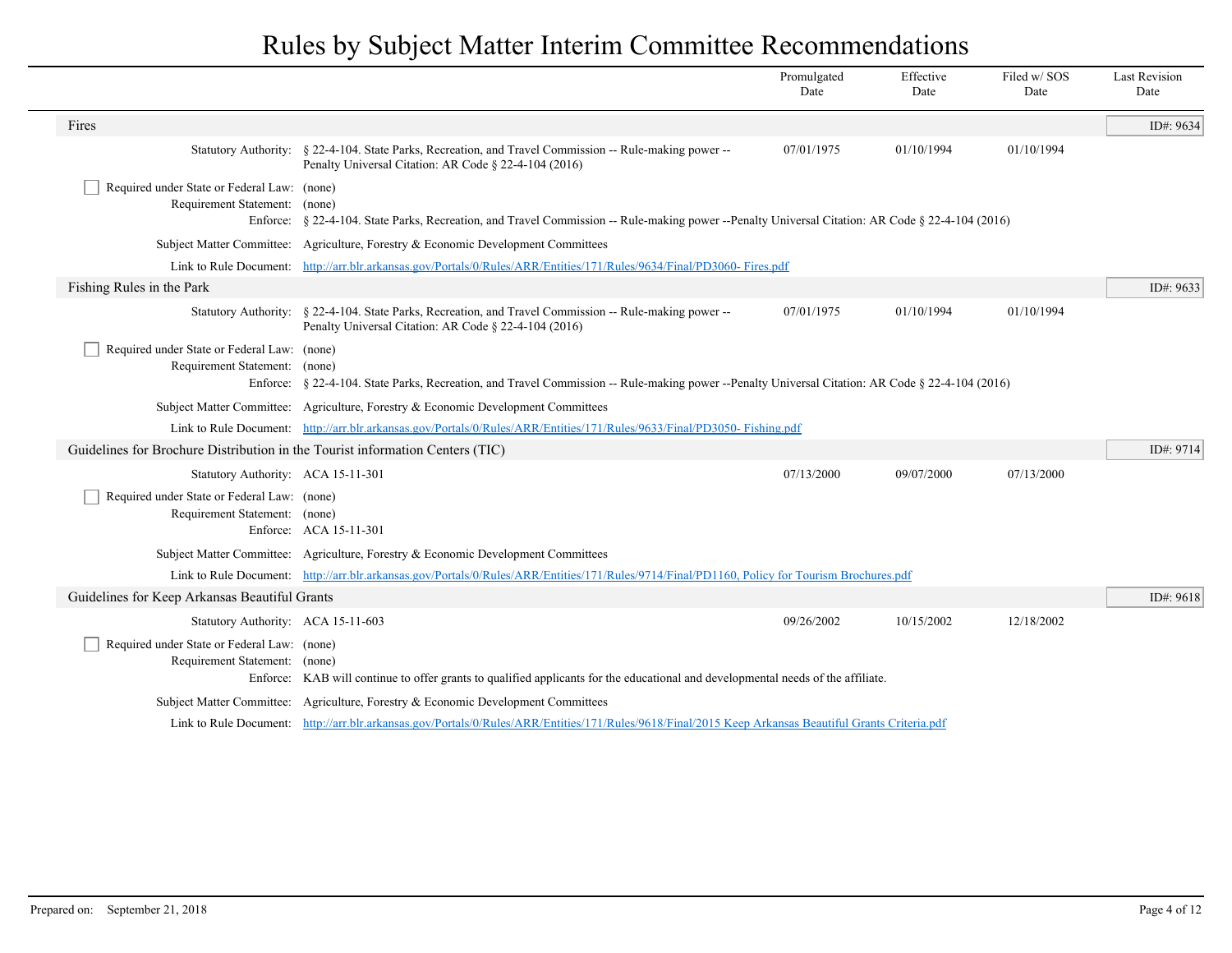|                                                                                          |                                                                                                                                                                  | Promulgated<br>Date | Effective<br>Date | Filed w/ SOS<br>Date | <b>Last Revision</b><br>Date |
|------------------------------------------------------------------------------------------|------------------------------------------------------------------------------------------------------------------------------------------------------------------|---------------------|-------------------|----------------------|------------------------------|
| Fires                                                                                    |                                                                                                                                                                  |                     |                   |                      | ID#: 9634                    |
|                                                                                          | Statutory Authority: § 22-4-104. State Parks, Recreation, and Travel Commission -- Rule-making power --<br>Penalty Universal Citation: AR Code § 22-4-104 (2016) | 07/01/1975          | 01/10/1994        | 01/10/1994           |                              |
| Required under State or Federal Law: (none)<br>Requirement Statement: (none)<br>Enforce: | § 22-4-104. State Parks, Recreation, and Travel Commission -- Rule-making power --Penalty Universal Citation: AR Code § 22-4-104 (2016)                          |                     |                   |                      |                              |
|                                                                                          | Subject Matter Committee: Agriculture, Forestry & Economic Development Committees                                                                                |                     |                   |                      |                              |
|                                                                                          | Link to Rule Document: http://arr.blr.arkansas.gov/Portals/0/Rules/ARR/Entities/171/Rules/9634/Final/PD3060- Fires.pdf                                           |                     |                   |                      |                              |
| Fishing Rules in the Park                                                                |                                                                                                                                                                  |                     |                   |                      | ID#: 9633                    |
|                                                                                          | Statutory Authority: § 22-4-104. State Parks, Recreation, and Travel Commission -- Rule-making power --<br>Penalty Universal Citation: AR Code § 22-4-104 (2016) | 07/01/1975          | 01/10/1994        | 01/10/1994           |                              |
| Required under State or Federal Law: (none)<br>Requirement Statement: (none)             | Enforce: § 22-4-104. State Parks, Recreation, and Travel Commission -- Rule-making power --Penalty Universal Citation: AR Code § 22-4-104 (2016)                 |                     |                   |                      |                              |
|                                                                                          | Subject Matter Committee: Agriculture, Forestry & Economic Development Committees                                                                                |                     |                   |                      |                              |
|                                                                                          | Link to Rule Document: http://arr.blr.arkansas.gov/Portals/0/Rules/ARR/Entities/171/Rules/9633/Final/PD3050-Fishing.pdf                                          |                     |                   |                      |                              |
| Guidelines for Brochure Distribution in the Tourist information Centers (TIC)            |                                                                                                                                                                  |                     |                   |                      | ID#: 9714                    |
| Statutory Authority: ACA 15-11-301                                                       |                                                                                                                                                                  | 07/13/2000          | 09/07/2000        | 07/13/2000           |                              |
| Required under State or Federal Law: (none)<br>Requirement Statement: (none)             | Enforce: ACA 15-11-301                                                                                                                                           |                     |                   |                      |                              |
|                                                                                          | Subject Matter Committee: Agriculture, Forestry & Economic Development Committees                                                                                |                     |                   |                      |                              |
|                                                                                          | Link to Rule Document: http://arr.blr.arkansas.gov/Portals/0/Rules/ARR/Entities/171/Rules/9714/Final/PD1160, Policy for Tourism Brochures.pdf                    |                     |                   |                      |                              |
| Guidelines for Keep Arkansas Beautiful Grants                                            |                                                                                                                                                                  |                     |                   |                      | ID#: 9618                    |
| Statutory Authority: ACA 15-11-603                                                       |                                                                                                                                                                  | 09/26/2002          | 10/15/2002        | 12/18/2002           |                              |
| Required under State or Federal Law: (none)<br>Requirement Statement: (none)             | Enforce: KAB will continue to offer grants to qualified applicants for the educational and developmental needs of the affiliate.                                 |                     |                   |                      |                              |
|                                                                                          | Subject Matter Committee: Agriculture, Forestry & Economic Development Committees                                                                                |                     |                   |                      |                              |
|                                                                                          | Link to Rule Document: http://arr.blr.arkansas.gov/Portals/0/Rules/ARR/Entities/171/Rules/9618/Final/2015 Keep Arkansas Beautiful Grants Criteria.pdf            |                     |                   |                      |                              |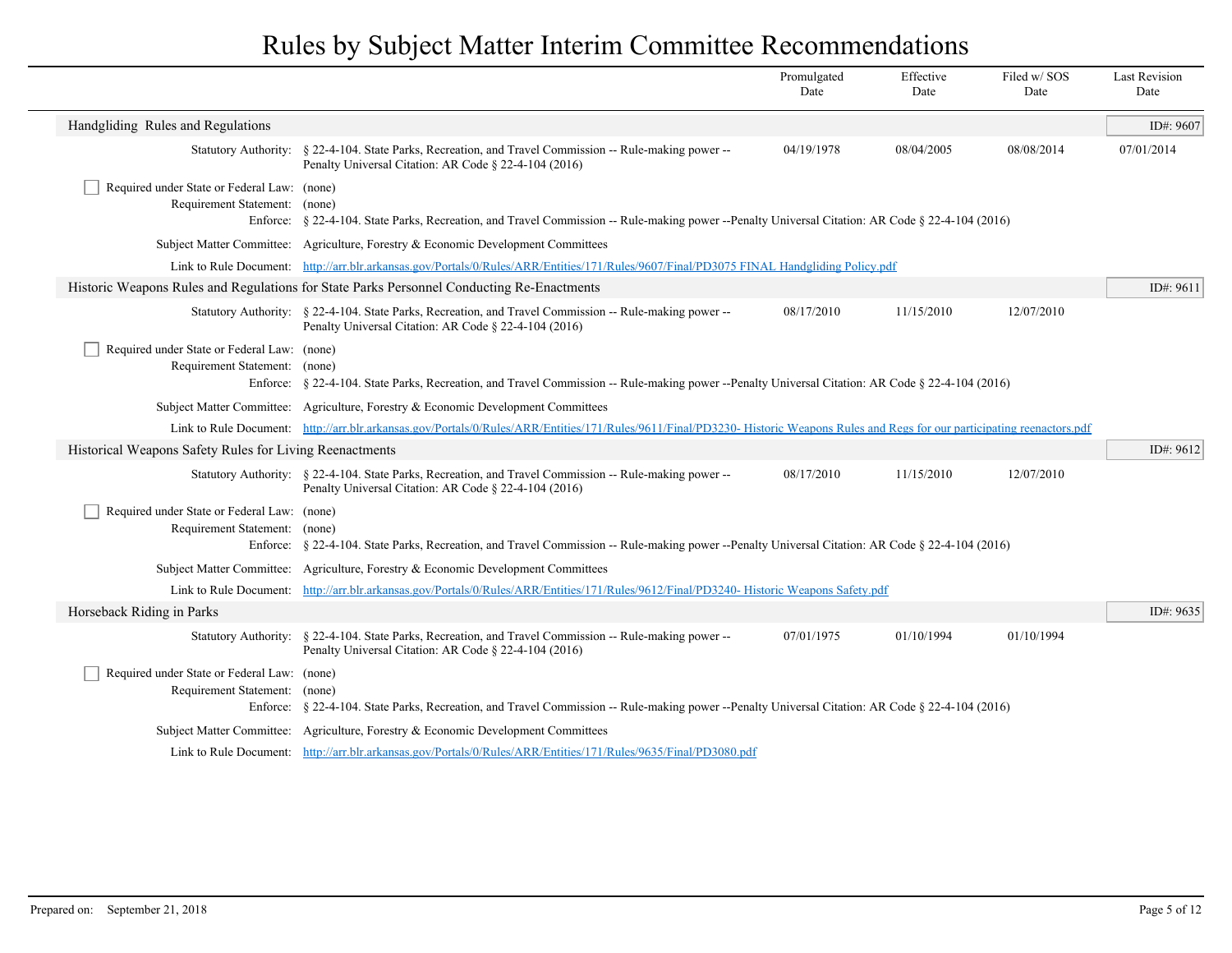|                                                                              |                                                                                                                                                                                   | Promulgated<br>Date | Effective<br>Date | Filed w/SOS<br>Date | <b>Last Revision</b><br>Date |
|------------------------------------------------------------------------------|-----------------------------------------------------------------------------------------------------------------------------------------------------------------------------------|---------------------|-------------------|---------------------|------------------------------|
| Handgliding Rules and Regulations                                            |                                                                                                                                                                                   |                     |                   |                     | ID#: 9607                    |
| <b>Statutory Authority:</b>                                                  | § 22-4-104. State Parks, Recreation, and Travel Commission -- Rule-making power --<br>Penalty Universal Citation: AR Code § 22-4-104 (2016)                                       | 04/19/1978          | 08/04/2005        | 08/08/2014          | 07/01/2014                   |
| Required under State or Federal Law: (none)<br>Requirement Statement:        | (none)<br>Enforce: § 22-4-104. State Parks, Recreation, and Travel Commission -- Rule-making power --Penalty Universal Citation: AR Code § 22-4-104 (2016)                        |                     |                   |                     |                              |
|                                                                              | Subject Matter Committee: Agriculture, Forestry & Economic Development Committees                                                                                                 |                     |                   |                     |                              |
| Link to Rule Document:                                                       | http://arr.blr.arkansas.gov/Portals/0/Rules/ARR/Entities/171/Rules/9607/Final/PD3075 FINAL Handgliding Policy.pdf                                                                 |                     |                   |                     |                              |
|                                                                              | Historic Weapons Rules and Regulations for State Parks Personnel Conducting Re-Enactments                                                                                         |                     |                   |                     | ID#: 9611                    |
|                                                                              | Statutory Authority: § 22-4-104. State Parks, Recreation, and Travel Commission -- Rule-making power --<br>Penalty Universal Citation: AR Code § 22-4-104 (2016)                  | 08/17/2010          | 11/15/2010        | 12/07/2010          |                              |
| Required under State or Federal Law: (none)<br>Requirement Statement: (none) | Enforce: § 22-4-104. State Parks, Recreation, and Travel Commission -- Rule-making power --Penalty Universal Citation: AR Code § 22-4-104 (2016)                                  |                     |                   |                     |                              |
|                                                                              | Subject Matter Committee: Agriculture, Forestry & Economic Development Committees                                                                                                 |                     |                   |                     |                              |
|                                                                              | Link to Rule Document: http://arr.blr.arkansas.gov/Portals/0/Rules/ARR/Entities/171/Rules/9611/Final/PD3230- Historic Weapons Rules and Regs for our participating reenactors.pdf |                     |                   |                     |                              |
| Historical Weapons Safety Rules for Living Reenactments                      |                                                                                                                                                                                   |                     |                   |                     | ID#: 9612                    |
|                                                                              | Statutory Authority: § 22-4-104. State Parks, Recreation, and Travel Commission -- Rule-making power --<br>Penalty Universal Citation: AR Code § 22-4-104 (2016)                  | 08/17/2010          | 11/15/2010        | 12/07/2010          |                              |
| Required under State or Federal Law: (none)<br>Requirement Statement:        | (none)<br>Enforce: § 22-4-104. State Parks, Recreation, and Travel Commission -- Rule-making power --Penalty Universal Citation: AR Code § 22-4-104 (2016)                        |                     |                   |                     |                              |
|                                                                              | Subject Matter Committee: Agriculture, Forestry & Economic Development Committees                                                                                                 |                     |                   |                     |                              |
| Link to Rule Document:                                                       | http://arr.blr.arkansas.gov/Portals/0/Rules/ARR/Entities/171/Rules/9612/Final/PD3240- Historic Weapons Safety.pdf                                                                 |                     |                   |                     |                              |
| Horseback Riding in Parks                                                    |                                                                                                                                                                                   |                     |                   |                     | ID#: 9635                    |
|                                                                              | Statutory Authority: § 22-4-104. State Parks, Recreation, and Travel Commission -- Rule-making power --<br>Penalty Universal Citation: AR Code § 22-4-104 (2016)                  | 07/01/1975          | 01/10/1994        | 01/10/1994          |                              |
| Required under State or Federal Law: (none)<br>Requirement Statement:        | (none)<br>Enforce: § 22-4-104. State Parks, Recreation, and Travel Commission -- Rule-making power --Penalty Universal Citation: AR Code § 22-4-104 (2016)                        |                     |                   |                     |                              |
|                                                                              | Subject Matter Committee: Agriculture, Forestry & Economic Development Committees                                                                                                 |                     |                   |                     |                              |
|                                                                              | Link to Rule Document: http://arr.blr.arkansas.gov/Portals/0/Rules/ARR/Entities/171/Rules/9635/Final/PD3080.pdf                                                                   |                     |                   |                     |                              |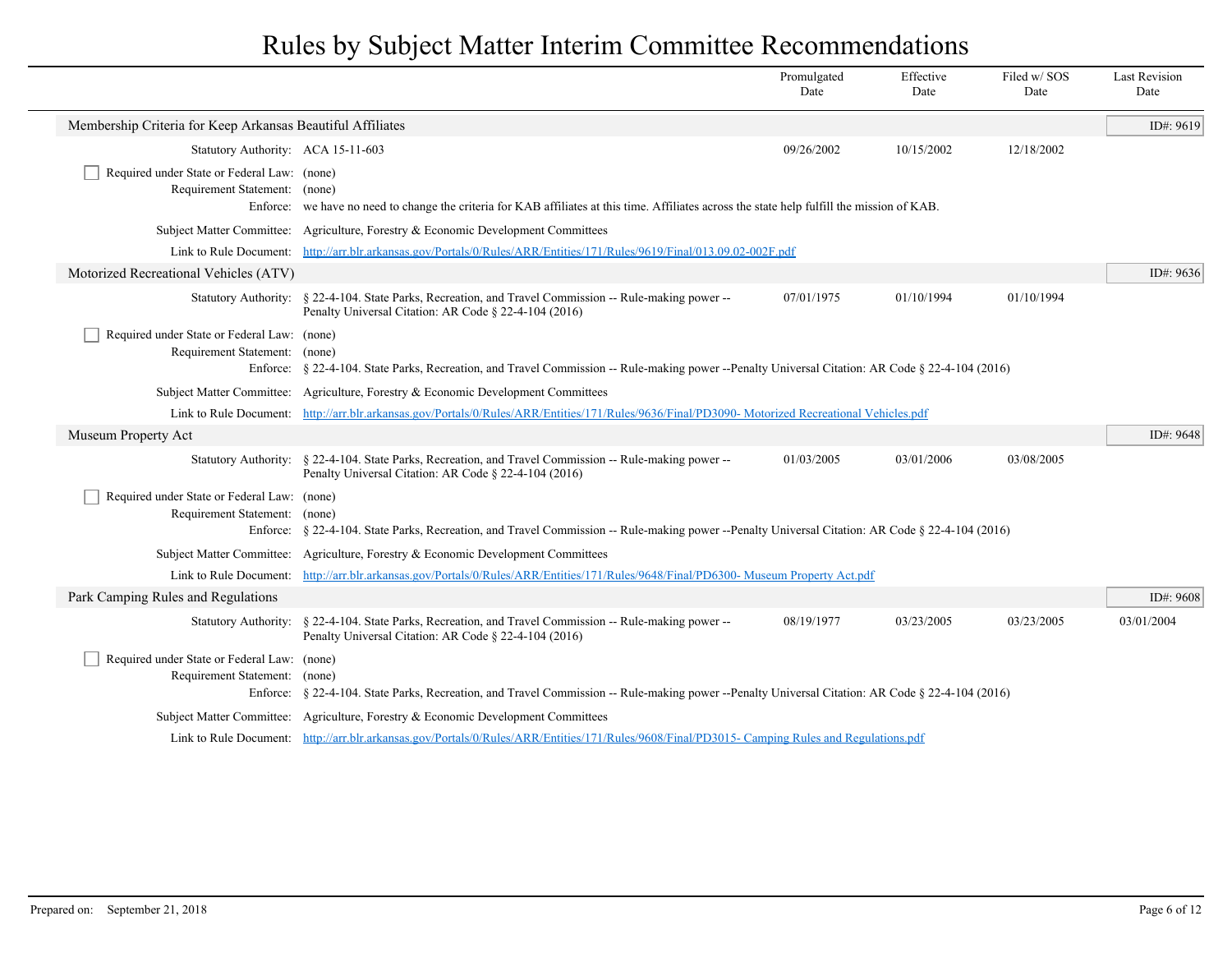|                                                                              |                                                                                                                                                                  | Promulgated<br>Date | Effective<br>Date | Filed w/SOS<br>Date | <b>Last Revision</b><br>Date |
|------------------------------------------------------------------------------|------------------------------------------------------------------------------------------------------------------------------------------------------------------|---------------------|-------------------|---------------------|------------------------------|
| Membership Criteria for Keep Arkansas Beautiful Affiliates                   |                                                                                                                                                                  |                     |                   |                     | ID#: 9619                    |
| Statutory Authority: ACA 15-11-603                                           |                                                                                                                                                                  | 09/26/2002          | 10/15/2002        | 12/18/2002          |                              |
| Required under State or Federal Law: (none)<br>Requirement Statement: (none) | Enforce: we have no need to change the criteria for KAB affiliates at this time. Affiliates across the state help fulfill the mission of KAB.                    |                     |                   |                     |                              |
|                                                                              | Subject Matter Committee: Agriculture, Forestry & Economic Development Committees                                                                                |                     |                   |                     |                              |
|                                                                              | Link to Rule Document: http://arr.blr.arkansas.gov/Portals/0/Rules/ARR/Entities/171/Rules/9619/Final/013.09.02-002F.pdf                                          |                     |                   |                     |                              |
| Motorized Recreational Vehicles (ATV)                                        |                                                                                                                                                                  |                     |                   |                     | ID#: 9636                    |
|                                                                              | Statutory Authority: § 22-4-104. State Parks, Recreation, and Travel Commission -- Rule-making power --<br>Penalty Universal Citation: AR Code § 22-4-104 (2016) | 07/01/1975          | 01/10/1994        | 01/10/1994          |                              |
| Required under State or Federal Law: (none)<br>Requirement Statement: (none) | Enforce: § 22-4-104. State Parks, Recreation, and Travel Commission -- Rule-making power --Penalty Universal Citation: AR Code § 22-4-104 (2016)                 |                     |                   |                     |                              |
|                                                                              | Subject Matter Committee: Agriculture, Forestry & Economic Development Committees                                                                                |                     |                   |                     |                              |
|                                                                              | Link to Rule Document: http://arr.blr.arkansas.gov/Portals/0/Rules/ARR/Entities/171/Rules/9636/Final/PD3090-Motorized Recreational Vehicles.pdf                  |                     |                   |                     |                              |
| Museum Property Act                                                          |                                                                                                                                                                  |                     |                   |                     | ID#: 9648                    |
|                                                                              | Statutory Authority: § 22-4-104. State Parks, Recreation, and Travel Commission -- Rule-making power --<br>Penalty Universal Citation: AR Code § 22-4-104 (2016) | 01/03/2005          | 03/01/2006        | 03/08/2005          |                              |
| Required under State or Federal Law: (none)<br>Requirement Statement: (none) | Enforce: § 22-4-104. State Parks, Recreation, and Travel Commission -- Rule-making power --Penalty Universal Citation: AR Code § 22-4-104 (2016)                 |                     |                   |                     |                              |
|                                                                              | Subject Matter Committee: Agriculture, Forestry & Economic Development Committees                                                                                |                     |                   |                     |                              |
|                                                                              | Link to Rule Document: http://arr.blr.arkansas.gov/Portals/0/Rules/ARR/Entities/171/Rules/9648/Final/PD6300- Museum Property Act.pdf                             |                     |                   |                     |                              |
| Park Camping Rules and Regulations                                           |                                                                                                                                                                  |                     |                   |                     | ID#: $9608$                  |
|                                                                              | Statutory Authority: § 22-4-104. State Parks, Recreation, and Travel Commission -- Rule-making power --<br>Penalty Universal Citation: AR Code § 22-4-104 (2016) | 08/19/1977          | 03/23/2005        | 03/23/2005          | 03/01/2004                   |
| Required under State or Federal Law: (none)<br>Requirement Statement: (none) | Enforce: § 22-4-104. State Parks, Recreation, and Travel Commission -- Rule-making power --Penalty Universal Citation: AR Code § 22-4-104 (2016)                 |                     |                   |                     |                              |
|                                                                              | Subject Matter Committee: Agriculture, Forestry & Economic Development Committees                                                                                |                     |                   |                     |                              |
|                                                                              | Link to Rule Document: http://arr.blr.arkansas.gov/Portals/0/Rules/ARR/Entities/171/Rules/9608/Final/PD3015- Camping Rules and Regulations.pdf                   |                     |                   |                     |                              |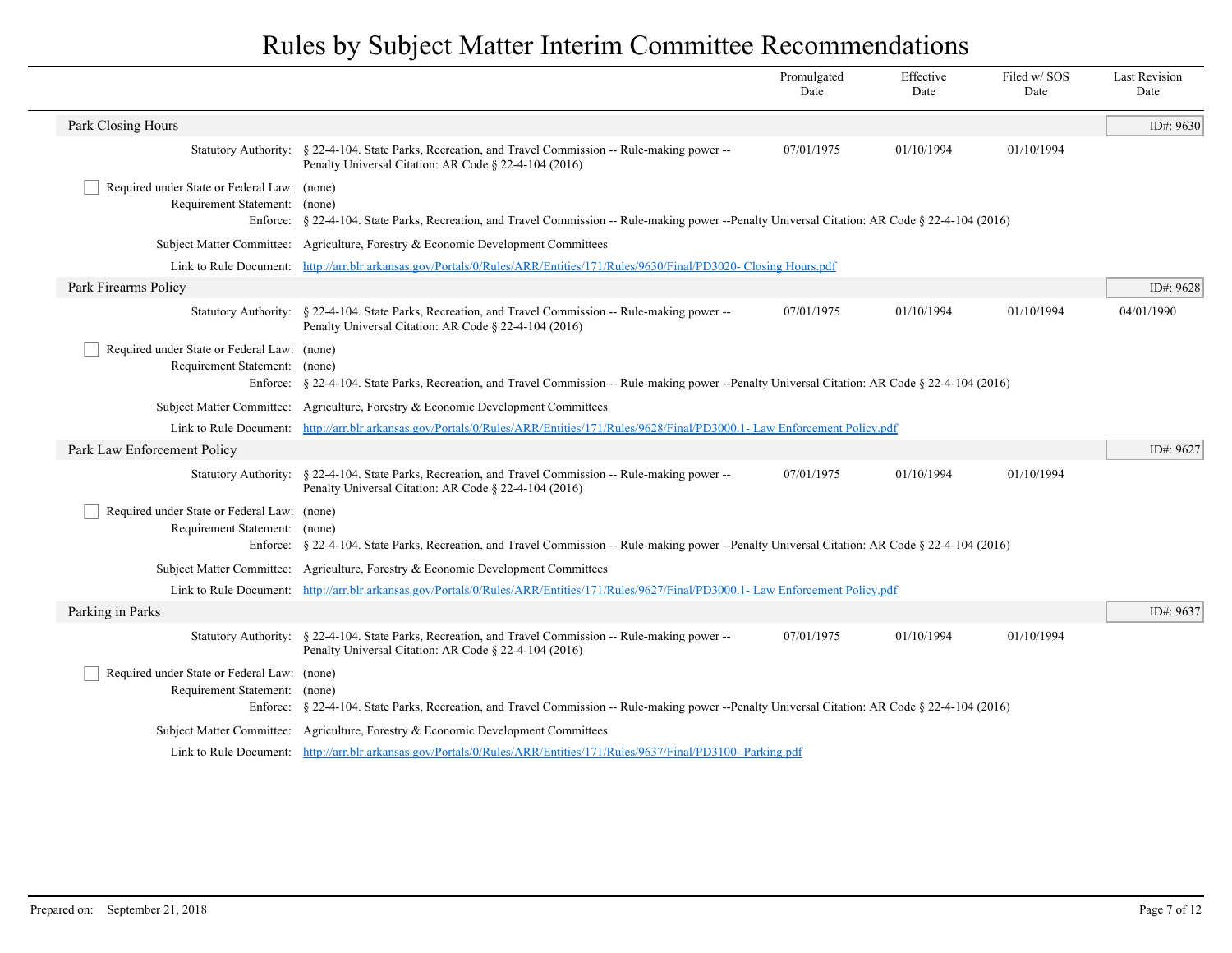|                                                                              |                                                                                                                                                                  | Promulgated<br>Date | Effective<br>Date | Filed w/SOS<br>Date | <b>Last Revision</b><br>Date |
|------------------------------------------------------------------------------|------------------------------------------------------------------------------------------------------------------------------------------------------------------|---------------------|-------------------|---------------------|------------------------------|
| Park Closing Hours                                                           |                                                                                                                                                                  |                     |                   |                     | ID#: 9630                    |
| <b>Statutory Authority:</b>                                                  | § 22-4-104. State Parks, Recreation, and Travel Commission -- Rule-making power --<br>Penalty Universal Citation: AR Code § 22-4-104 (2016)                      | 07/01/1975          | 01/10/1994        | 01/10/1994          |                              |
| Required under State or Federal Law: (none)<br>Requirement Statement: (none) | Enforce: § 22-4-104. State Parks, Recreation, and Travel Commission -- Rule-making power --Penalty Universal Citation: AR Code § 22-4-104 (2016)                 |                     |                   |                     |                              |
|                                                                              | Subject Matter Committee: Agriculture, Forestry & Economic Development Committees                                                                                |                     |                   |                     |                              |
|                                                                              | Link to Rule Document: http://arr.blr.arkansas.gov/Portals/0/Rules/ARR/Entities/171/Rules/9630/Final/PD3020- Closing Hours.pdf                                   |                     |                   |                     |                              |
| Park Firearms Policy                                                         |                                                                                                                                                                  |                     |                   |                     | ID#: 9628                    |
|                                                                              | Statutory Authority: § 22-4-104. State Parks, Recreation, and Travel Commission -- Rule-making power --<br>Penalty Universal Citation: AR Code § 22-4-104 (2016) | 07/01/1975          | 01/10/1994        | 01/10/1994          | 04/01/1990                   |
| Required under State or Federal Law: (none)<br>Requirement Statement: (none) | Enforce: § 22-4-104. State Parks, Recreation, and Travel Commission -- Rule-making power --Penalty Universal Citation: AR Code § 22-4-104 (2016)                 |                     |                   |                     |                              |
|                                                                              | Subject Matter Committee: Agriculture, Forestry & Economic Development Committees                                                                                |                     |                   |                     |                              |
|                                                                              | Link to Rule Document: http://arr.blr.arkansas.gov/Portals/0/Rules/ARR/Entities/171/Rules/9628/Final/PD3000.1- Law Enforcement Policy.pdf                        |                     |                   |                     |                              |
| Park Law Enforcement Policy                                                  |                                                                                                                                                                  |                     |                   |                     | ID#: 9627                    |
| <b>Statutory Authority:</b>                                                  | § 22-4-104. State Parks, Recreation, and Travel Commission -- Rule-making power --<br>Penalty Universal Citation: AR Code § 22-4-104 (2016)                      | 07/01/1975          | 01/10/1994        | 01/10/1994          |                              |
| Required under State or Federal Law: (none)<br>Requirement Statement: (none) | Enforce: § 22-4-104. State Parks, Recreation, and Travel Commission -- Rule-making power --Penalty Universal Citation: AR Code § 22-4-104 (2016)                 |                     |                   |                     |                              |
|                                                                              | Subject Matter Committee: Agriculture, Forestry & Economic Development Committees                                                                                |                     |                   |                     |                              |
|                                                                              | Link to Rule Document: http://arr.blr.arkansas.gov/Portals/0/Rules/ARR/Entities/171/Rules/9627/Final/PD3000.1- Law Enforcement Policy.pdf                        |                     |                   |                     |                              |
| Parking in Parks                                                             |                                                                                                                                                                  |                     |                   |                     | ID#: 9637                    |
|                                                                              | Statutory Authority: § 22-4-104. State Parks, Recreation, and Travel Commission -- Rule-making power --<br>Penalty Universal Citation: AR Code § 22-4-104 (2016) | 07/01/1975          | 01/10/1994        | 01/10/1994          |                              |
| Required under State or Federal Law: (none)<br>Requirement Statement:        | (none)<br>Enforce: § 22-4-104. State Parks, Recreation, and Travel Commission -- Rule-making power --Penalty Universal Citation: AR Code § 22-4-104 (2016)       |                     |                   |                     |                              |
|                                                                              | Subject Matter Committee: Agriculture, Forestry & Economic Development Committees                                                                                |                     |                   |                     |                              |
|                                                                              | Link to Rule Document: http://arr.blr.arkansas.gov/Portals/0/Rules/ARR/Entities/171/Rules/9637/Final/PD3100-Parking.pdf                                          |                     |                   |                     |                              |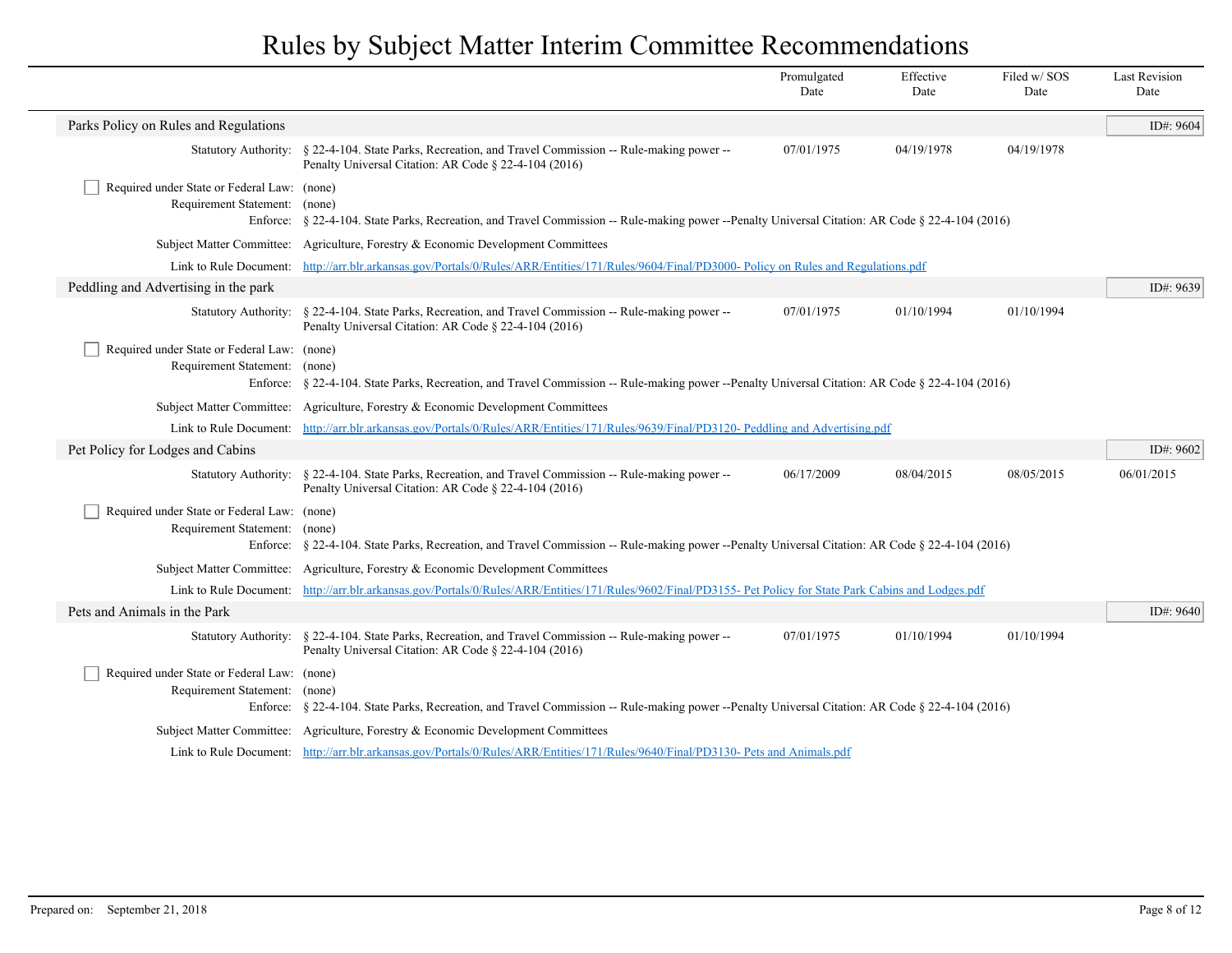|                                                                              |                                                                                                                                                                  | Promulgated<br>Date | Effective<br>Date | Filed w/SOS<br>Date | <b>Last Revision</b><br>Date |
|------------------------------------------------------------------------------|------------------------------------------------------------------------------------------------------------------------------------------------------------------|---------------------|-------------------|---------------------|------------------------------|
| Parks Policy on Rules and Regulations                                        |                                                                                                                                                                  |                     |                   |                     | ID#: 9604                    |
|                                                                              | Statutory Authority: § 22-4-104. State Parks, Recreation, and Travel Commission -- Rule-making power --<br>Penalty Universal Citation: AR Code § 22-4-104 (2016) | 07/01/1975          | 04/19/1978        | 04/19/1978          |                              |
| Required under State or Federal Law: (none)<br>Requirement Statement:        | (none)<br>Enforce: § 22-4-104. State Parks, Recreation, and Travel Commission -- Rule-making power --Penalty Universal Citation: AR Code § 22-4-104 (2016)       |                     |                   |                     |                              |
|                                                                              | Subject Matter Committee: Agriculture, Forestry & Economic Development Committees                                                                                |                     |                   |                     |                              |
|                                                                              | Link to Rule Document: http://arr.blr.arkansas.gov/Portals/0/Rules/ARR/Entities/171/Rules/9604/Final/PD3000-Policy on Rules and Regulations.pdf                  |                     |                   |                     |                              |
| Peddling and Advertising in the park                                         |                                                                                                                                                                  |                     |                   |                     | ID#: 9639                    |
|                                                                              | Statutory Authority: § 22-4-104. State Parks, Recreation, and Travel Commission -- Rule-making power --<br>Penalty Universal Citation: AR Code § 22-4-104 (2016) | 07/01/1975          | 01/10/1994        | 01/10/1994          |                              |
| Required under State or Federal Law: (none)<br>Requirement Statement: (none) | Enforce: § 22-4-104. State Parks, Recreation, and Travel Commission -- Rule-making power --Penalty Universal Citation: AR Code § 22-4-104 (2016)                 |                     |                   |                     |                              |
|                                                                              | Subject Matter Committee: Agriculture, Forestry & Economic Development Committees                                                                                |                     |                   |                     |                              |
|                                                                              | Link to Rule Document: http://arr.blr.arkansas.gov/Portals/0/Rules/ARR/Entities/171/Rules/9639/Final/PD3120- Peddling and Advertising.pdf                        |                     |                   |                     |                              |
| Pet Policy for Lodges and Cabins                                             |                                                                                                                                                                  |                     |                   |                     | ID#: $9602$                  |
| <b>Statutory Authority:</b>                                                  | § 22-4-104. State Parks, Recreation, and Travel Commission -- Rule-making power --<br>Penalty Universal Citation: AR Code § 22-4-104 (2016)                      | 06/17/2009          | 08/04/2015        | 08/05/2015          | 06/01/2015                   |
| Required under State or Federal Law: (none)<br>Requirement Statement: (none) | Enforce: § 22-4-104. State Parks, Recreation, and Travel Commission -- Rule-making power --Penalty Universal Citation: AR Code § 22-4-104 (2016)                 |                     |                   |                     |                              |
|                                                                              | Subject Matter Committee: Agriculture, Forestry & Economic Development Committees                                                                                |                     |                   |                     |                              |
|                                                                              | Link to Rule Document: http://arr.blr.arkansas.gov/Portals/0/Rules/ARR/Entities/171/Rules/9602/Final/PD3155- Pet Policy for State Park Cabins and Lodges.pdf     |                     |                   |                     |                              |
| Pets and Animals in the Park                                                 |                                                                                                                                                                  |                     |                   |                     | ID#: 9640                    |
|                                                                              | Statutory Authority: § 22-4-104. State Parks, Recreation, and Travel Commission -- Rule-making power --<br>Penalty Universal Citation: AR Code § 22-4-104 (2016) | 07/01/1975          | 01/10/1994        | 01/10/1994          |                              |
| Required under State or Federal Law: (none)<br>Requirement Statement:        | (none)<br>Enforce: § 22-4-104. State Parks, Recreation, and Travel Commission -- Rule-making power --Penalty Universal Citation: AR Code § 22-4-104 (2016)       |                     |                   |                     |                              |
|                                                                              | Subject Matter Committee: Agriculture, Forestry & Economic Development Committees                                                                                |                     |                   |                     |                              |
|                                                                              | Link to Rule Document: http://arr.blr.arkansas.gov/Portals/0/Rules/ARR/Entities/171/Rules/9640/Final/PD3130- Pets and Animals.pdf                                |                     |                   |                     |                              |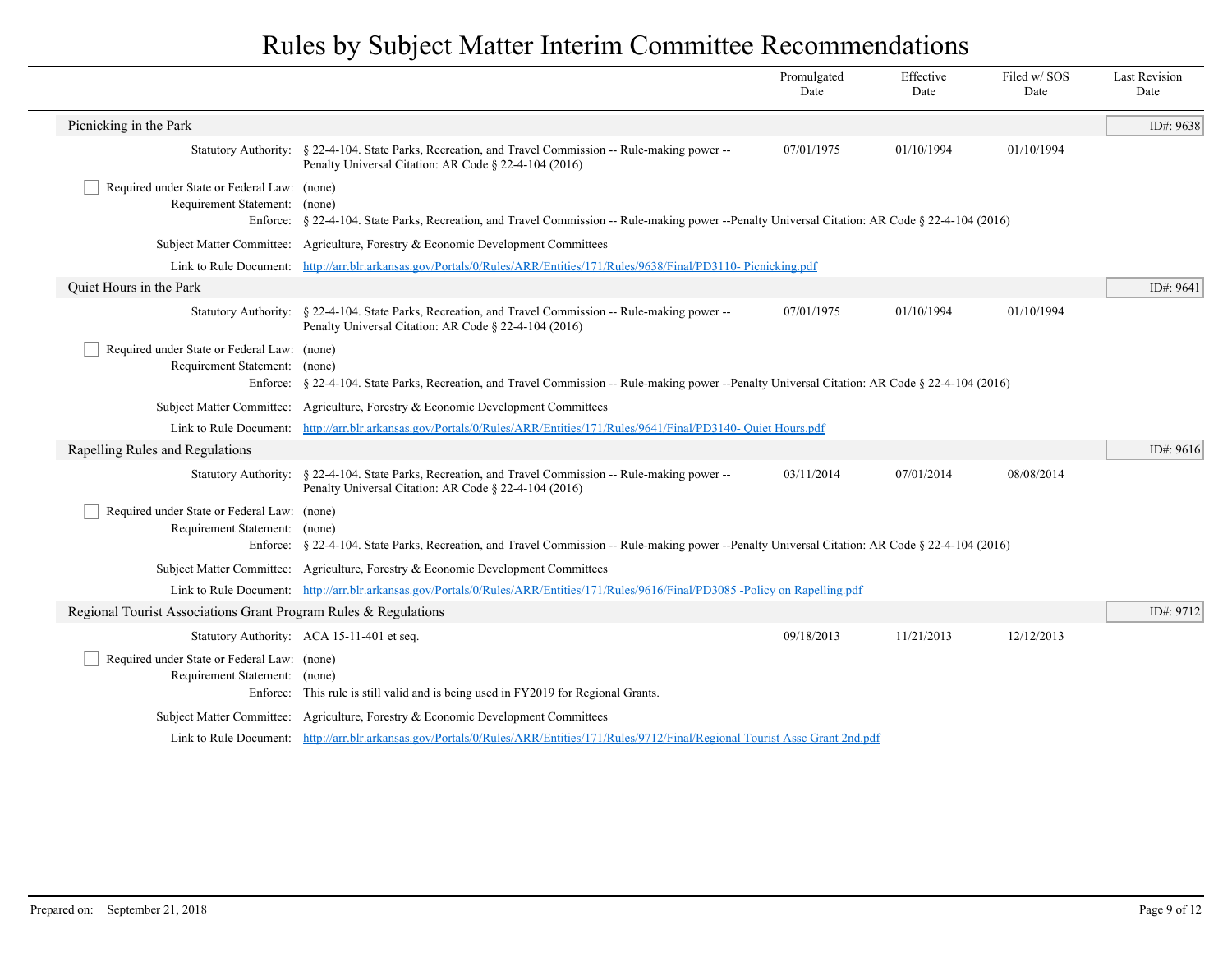|                                                                                          |                                                                                                                                                                  | Promulgated<br>Date | Effective<br>Date | Filed w/ SOS<br>Date | <b>Last Revision</b><br>Date |
|------------------------------------------------------------------------------------------|------------------------------------------------------------------------------------------------------------------------------------------------------------------|---------------------|-------------------|----------------------|------------------------------|
| Picnicking in the Park                                                                   |                                                                                                                                                                  |                     |                   |                      | ID#: 9638                    |
|                                                                                          | Statutory Authority: § 22-4-104. State Parks, Recreation, and Travel Commission -- Rule-making power --<br>Penalty Universal Citation: AR Code § 22-4-104 (2016) | 07/01/1975          | 01/10/1994        | 01/10/1994           |                              |
| Required under State or Federal Law: (none)<br>Requirement Statement: (none)<br>Enforce: | § 22-4-104. State Parks, Recreation, and Travel Commission -- Rule-making power --Penalty Universal Citation: AR Code § 22-4-104 (2016)                          |                     |                   |                      |                              |
| <b>Subject Matter Committee:</b>                                                         | Agriculture, Forestry & Economic Development Committees                                                                                                          |                     |                   |                      |                              |
| Link to Rule Document:                                                                   | http://arr.blr.arkansas.gov/Portals/0/Rules/ARR/Entities/171/Rules/9638/Final/PD3110-Picnicking.pdf                                                              |                     |                   |                      |                              |
| Quiet Hours in the Park                                                                  |                                                                                                                                                                  |                     |                   |                      | ID#: $9641$                  |
|                                                                                          | Statutory Authority: § 22-4-104. State Parks, Recreation, and Travel Commission -- Rule-making power --<br>Penalty Universal Citation: AR Code § 22-4-104 (2016) | 07/01/1975          | 01/10/1994        | 01/10/1994           |                              |
| Required under State or Federal Law: (none)<br>Requirement Statement:<br>Enforce:        | (none)<br>§ 22-4-104. State Parks, Recreation, and Travel Commission -- Rule-making power --Penalty Universal Citation: AR Code § 22-4-104 (2016)                |                     |                   |                      |                              |
| <b>Subject Matter Committee:</b>                                                         | Agriculture, Forestry & Economic Development Committees                                                                                                          |                     |                   |                      |                              |
| Link to Rule Document:                                                                   | http://arr.blr.arkansas.gov/Portals/0/Rules/ARR/Entities/171/Rules/9641/Final/PD3140- Quiet Hours.pdf                                                            |                     |                   |                      |                              |
| Rapelling Rules and Regulations                                                          |                                                                                                                                                                  |                     |                   |                      | ID#: 9616                    |
| <b>Statutory Authority:</b>                                                              | § 22-4-104. State Parks, Recreation, and Travel Commission -- Rule-making power --<br>Penalty Universal Citation: AR Code § 22-4-104 (2016)                      | 03/11/2014          | 07/01/2014        | 08/08/2014           |                              |
| Required under State or Federal Law: (none)<br>Requirement Statement:                    | (none)<br>Enforce: § 22-4-104. State Parks, Recreation, and Travel Commission -- Rule-making power --Penalty Universal Citation: AR Code § 22-4-104 (2016)       |                     |                   |                      |                              |
|                                                                                          | Subject Matter Committee: Agriculture, Forestry & Economic Development Committees                                                                                |                     |                   |                      |                              |
|                                                                                          | Link to Rule Document: http://arr.blr.arkansas.gov/Portals/0/Rules/ARR/Entities/171/Rules/9616/Final/PD3085-Policy on Rapelling.pdf                              |                     |                   |                      |                              |
| Regional Tourist Associations Grant Program Rules & Regulations                          |                                                                                                                                                                  |                     |                   |                      | ID#: 9712                    |
|                                                                                          | Statutory Authority: ACA 15-11-401 et seq.                                                                                                                       | 09/18/2013          | 11/21/2013        | 12/12/2013           |                              |
| Required under State or Federal Law: (none)<br>Requirement Statement: (none)             | Enforce: This rule is still valid and is being used in FY2019 for Regional Grants.                                                                               |                     |                   |                      |                              |
|                                                                                          | Subject Matter Committee: Agriculture, Forestry & Economic Development Committees                                                                                |                     |                   |                      |                              |
|                                                                                          | Link to Rule Document: http://arr.blr.arkansas.gov/Portals/0/Rules/ARR/Entities/171/Rules/9712/Final/Regional Tourist Asse Grant 2nd.pdf                         |                     |                   |                      |                              |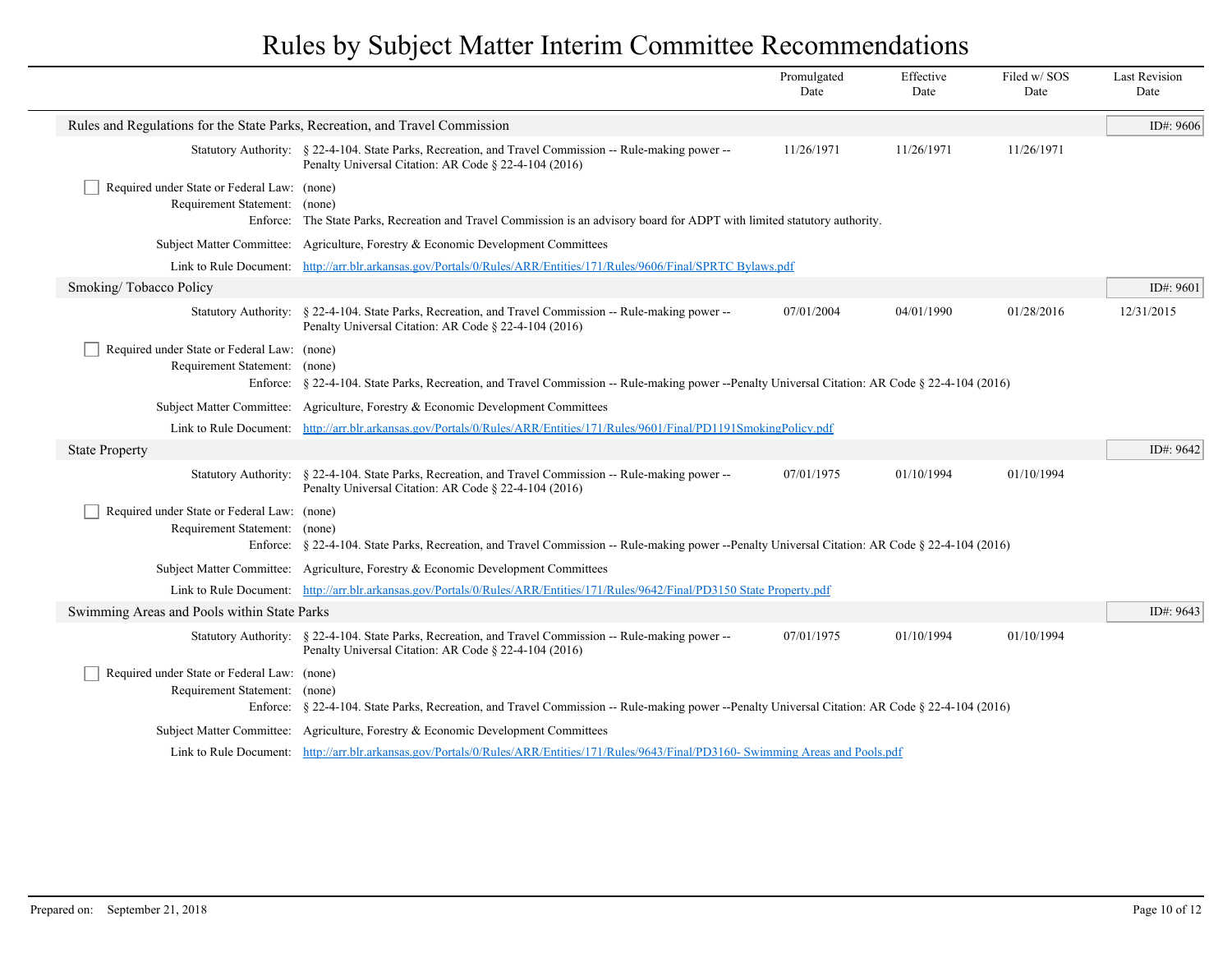|                                                                              |                                                                                                                                                                  | Promulgated<br>Date | Effective<br>Date | Filed w/SOS<br>Date | <b>Last Revision</b><br>Date |
|------------------------------------------------------------------------------|------------------------------------------------------------------------------------------------------------------------------------------------------------------|---------------------|-------------------|---------------------|------------------------------|
| Rules and Regulations for the State Parks, Recreation, and Travel Commission |                                                                                                                                                                  |                     |                   |                     | ID#: 9606                    |
|                                                                              | Statutory Authority: § 22-4-104. State Parks, Recreation, and Travel Commission -- Rule-making power --<br>Penalty Universal Citation: AR Code § 22-4-104 (2016) | 11/26/1971          | 11/26/1971        | 11/26/1971          |                              |
| Required under State or Federal Law: (none)<br>Requirement Statement: (none) | Enforce: The State Parks, Recreation and Travel Commission is an advisory board for ADPT with limited statutory authority.                                       |                     |                   |                     |                              |
|                                                                              | Subject Matter Committee: Agriculture, Forestry & Economic Development Committees                                                                                |                     |                   |                     |                              |
|                                                                              | Link to Rule Document: http://arr.blr.arkansas.gov/Portals/0/Rules/ARR/Entities/171/Rules/9606/Final/SPRTC Bylaws.pdf                                            |                     |                   |                     |                              |
| Smoking/Tobacco Policy                                                       |                                                                                                                                                                  |                     |                   |                     | ID#: 9601                    |
|                                                                              | Statutory Authority: § 22-4-104. State Parks, Recreation, and Travel Commission -- Rule-making power --<br>Penalty Universal Citation: AR Code § 22-4-104 (2016) | 07/01/2004          | 04/01/1990        | 01/28/2016          | 12/31/2015                   |
| Required under State or Federal Law: (none)<br>Requirement Statement: (none) | Enforce: § 22-4-104. State Parks, Recreation, and Travel Commission -- Rule-making power --Penalty Universal Citation: AR Code § 22-4-104 (2016)                 |                     |                   |                     |                              |
|                                                                              | Subject Matter Committee: Agriculture, Forestry & Economic Development Committees                                                                                |                     |                   |                     |                              |
|                                                                              | Link to Rule Document: http://arr.blr.arkansas.gov/Portals/0/Rules/ARR/Entities/171/Rules/9601/Final/PD1191SmokingPolicy.pdf                                     |                     |                   |                     |                              |
| <b>State Property</b>                                                        |                                                                                                                                                                  |                     |                   |                     | ID#: 9642                    |
| <b>Statutory Authority:</b>                                                  | § 22-4-104. State Parks, Recreation, and Travel Commission -- Rule-making power --<br>Penalty Universal Citation: AR Code § 22-4-104 (2016)                      | 07/01/1975          | 01/10/1994        | 01/10/1994          |                              |
| Required under State or Federal Law: (none)<br>Requirement Statement: (none) | Enforce: § 22-4-104. State Parks, Recreation, and Travel Commission -- Rule-making power --Penalty Universal Citation: AR Code § 22-4-104 (2016)                 |                     |                   |                     |                              |
|                                                                              | Subject Matter Committee: Agriculture, Forestry & Economic Development Committees                                                                                |                     |                   |                     |                              |
|                                                                              | Link to Rule Document: http://arr.blr.arkansas.gov/Portals/0/Rules/ARR/Entities/171/Rules/9642/Final/PD3150 State Property.pdf                                   |                     |                   |                     |                              |
| Swimming Areas and Pools within State Parks                                  |                                                                                                                                                                  |                     |                   |                     | ID#: 9643                    |
|                                                                              | Statutory Authority: § 22-4-104. State Parks, Recreation, and Travel Commission -- Rule-making power --<br>Penalty Universal Citation: AR Code § 22-4-104 (2016) | 07/01/1975          | 01/10/1994        | 01/10/1994          |                              |
| Required under State or Federal Law: (none)<br>Requirement Statement: (none) | Enforce: § 22-4-104. State Parks, Recreation, and Travel Commission -- Rule-making power --Penalty Universal Citation: AR Code § 22-4-104 (2016)                 |                     |                   |                     |                              |
|                                                                              | Subject Matter Committee: Agriculture, Forestry & Economic Development Committees                                                                                |                     |                   |                     |                              |
|                                                                              | Link to Rule Document: http://arr.blr.arkansas.gov/Portals/0/Rules/ARR/Entities/171/Rules/9643/Final/PD3160-Swimming Areas and Pools.pdf                         |                     |                   |                     |                              |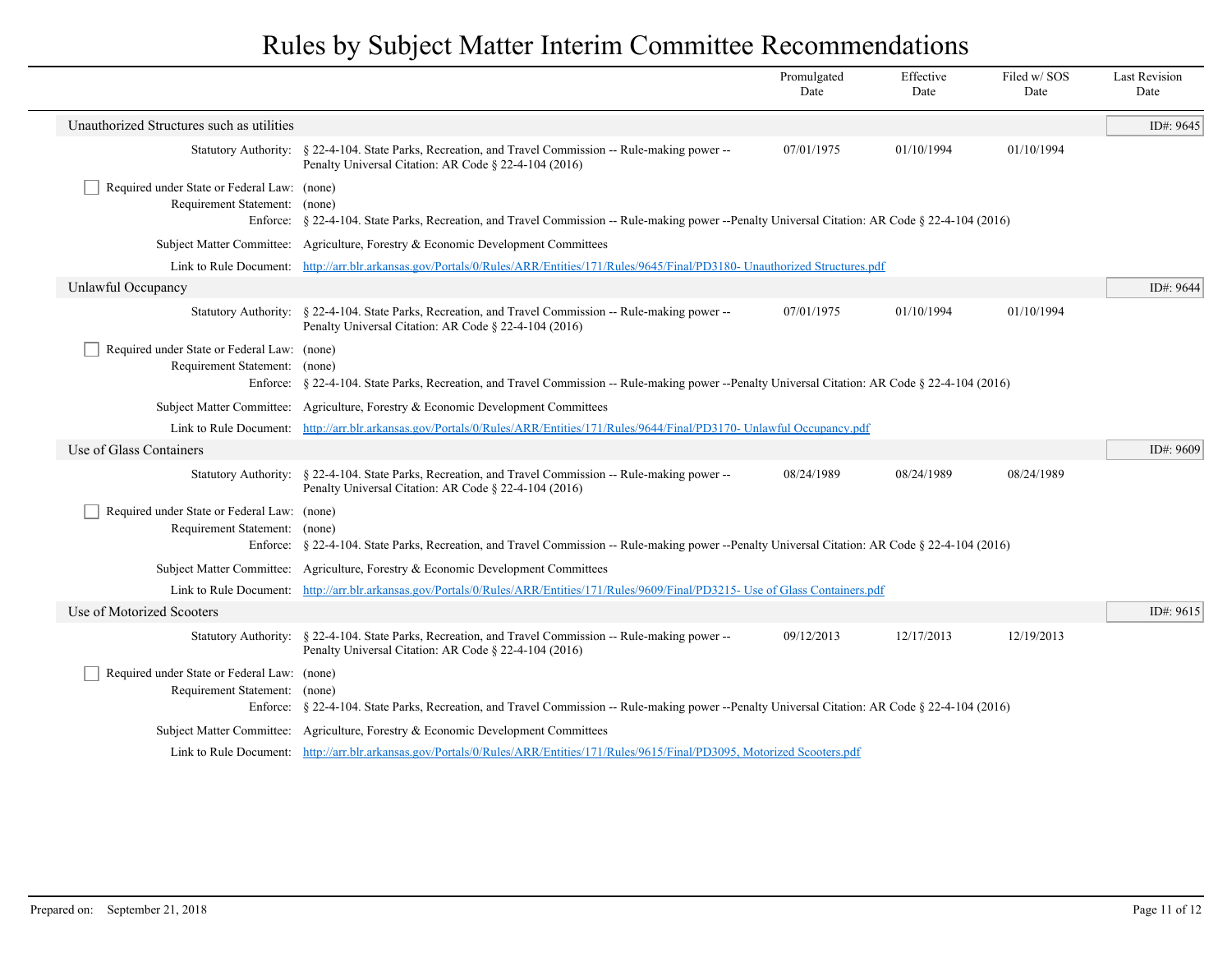|                                                                                          |                                                                                                                                                                  | Promulgated<br>Date | Effective<br>Date | Filed w/SOS<br>Date | <b>Last Revision</b><br>Date |
|------------------------------------------------------------------------------------------|------------------------------------------------------------------------------------------------------------------------------------------------------------------|---------------------|-------------------|---------------------|------------------------------|
| Unauthorized Structures such as utilities                                                |                                                                                                                                                                  |                     |                   |                     | ID#: 9645                    |
|                                                                                          | Statutory Authority: § 22-4-104. State Parks, Recreation, and Travel Commission -- Rule-making power --<br>Penalty Universal Citation: AR Code § 22-4-104 (2016) | 07/01/1975          | 01/10/1994        | 01/10/1994          |                              |
| Required under State or Federal Law: (none)<br>Requirement Statement: (none)             | Enforce: § 22-4-104. State Parks, Recreation, and Travel Commission -- Rule-making power --Penalty Universal Citation: AR Code § 22-4-104 (2016)                 |                     |                   |                     |                              |
|                                                                                          | Subject Matter Committee: Agriculture, Forestry & Economic Development Committees                                                                                |                     |                   |                     |                              |
|                                                                                          | Link to Rule Document: http://arr.blr.arkansas.gov/Portals/0/Rules/ARR/Entities/171/Rules/9645/Final/PD3180- Unauthorized Structures.pdf                         |                     |                   |                     |                              |
| Unlawful Occupancy                                                                       |                                                                                                                                                                  |                     |                   |                     | ID#: 9644                    |
|                                                                                          | Statutory Authority: § 22-4-104. State Parks, Recreation, and Travel Commission -- Rule-making power --<br>Penalty Universal Citation: AR Code § 22-4-104 (2016) | 07/01/1975          | 01/10/1994        | 01/10/1994          |                              |
| Required under State or Federal Law: (none)<br>Requirement Statement: (none)             | Enforce: § 22-4-104. State Parks, Recreation, and Travel Commission -- Rule-making power --Penalty Universal Citation: AR Code § 22-4-104 (2016)                 |                     |                   |                     |                              |
|                                                                                          | Subject Matter Committee: Agriculture, Forestry & Economic Development Committees                                                                                |                     |                   |                     |                              |
|                                                                                          | Link to Rule Document: http://arr.blr.arkansas.gov/Portals/0/Rules/ARR/Entities/171/Rules/9644/Final/PD3170- Unlawful Occupancy.pdf                              |                     |                   |                     |                              |
| Use of Glass Containers                                                                  |                                                                                                                                                                  |                     |                   |                     | ID#: 9609                    |
|                                                                                          | Statutory Authority: § 22-4-104. State Parks, Recreation, and Travel Commission -- Rule-making power --<br>Penalty Universal Citation: AR Code § 22-4-104 (2016) | 08/24/1989          | 08/24/1989        | 08/24/1989          |                              |
| Required under State or Federal Law: (none)<br>Requirement Statement: (none)<br>Enforce: | § 22-4-104. State Parks, Recreation, and Travel Commission -- Rule-making power --Penalty Universal Citation: AR Code § 22-4-104 (2016)                          |                     |                   |                     |                              |
|                                                                                          | Subject Matter Committee: Agriculture, Forestry & Economic Development Committees                                                                                |                     |                   |                     |                              |
| Link to Rule Document:                                                                   | http://arr.blr.arkansas.gov/Portals/0/Rules/ARR/Entities/171/Rules/9609/Final/PD3215- Use of Glass Containers.pdf                                                |                     |                   |                     |                              |
| Use of Motorized Scooters                                                                |                                                                                                                                                                  |                     |                   |                     | ID#: 9615                    |
|                                                                                          | Statutory Authority: § 22-4-104. State Parks, Recreation, and Travel Commission -- Rule-making power --<br>Penalty Universal Citation: AR Code § 22-4-104 (2016) | 09/12/2013          | 12/17/2013        | 12/19/2013          |                              |
| Required under State or Federal Law: (none)<br>Requirement Statement: (none)             | Enforce: § 22-4-104. State Parks, Recreation, and Travel Commission -- Rule-making power --Penalty Universal Citation: AR Code § 22-4-104 (2016)                 |                     |                   |                     |                              |
|                                                                                          | Subject Matter Committee: Agriculture, Forestry & Economic Development Committees                                                                                |                     |                   |                     |                              |
|                                                                                          | Link to Rule Document: http://arr.blr.arkansas.gov/Portals/0/Rules/ARR/Entities/171/Rules/9615/Final/PD3095, Motorized Scooters.pdf                              |                     |                   |                     |                              |